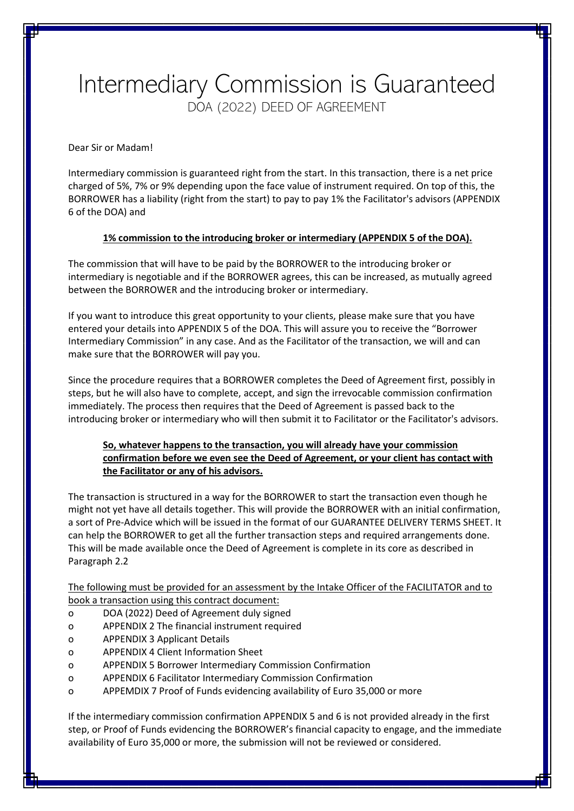## Intermediary Commission is Guaranteed DOA (2022) DEED OF AGREEMENT

Dear Sir or Madam!

Intermediary commission is guaranteed right from the start. In this transaction, there is a net price charged of 5%, 7% or 9% depending upon the face value of instrument required. On top of this, the BORROWER has a liability (right from the start) to pay to pay 1% the Facilitator's advisors (APPENDIX 6 of the DOA) and

## **1% commission to the introducing broker or intermediary (APPENDIX 5 of the DOA).**

The commission that will have to be paid by the BORROWER to the introducing broker or intermediary is negotiable and if the BORROWER agrees, this can be increased, as mutually agreed between the BORROWER and the introducing broker or intermediary.

If you want to introduce this great opportunity to your clients, please make sure that you have entered your details into APPENDIX 5 of the DOA. This will assure you to receive the "Borrower Intermediary Commission" in any case. And as the Facilitator of the transaction, we will and can make sure that the BORROWER will pay you.

Since the procedure requires that a BORROWER completes the Deed of Agreement first, possibly in steps, but he will also have to complete, accept, and sign the irrevocable commission confirmation immediately. The process then requires that the Deed of Agreement is passed back to the introducing broker or intermediary who will then submit it to Facilitator or the Facilitator's advisors.

## **So, whatever happens to the transaction, you will already have your commission confirmation before we even see the Deed of Agreement, or your client has contact with the Facilitator or any of his advisors.**

The transaction is structured in a way for the BORROWER to start the transaction even though he might not yet have all details together. This will provide the BORROWER with an initial confirmation, a sort of Pre-Advice which will be issued in the format of our GUARANTEE DELIVERY TERMS SHEET. It can help the BORROWER to get all the further transaction steps and required arrangements done. This will be made available once the Deed of Agreement is complete in its core as described in Paragraph 2.2

The following must be provided for an assessment by the Intake Officer of the FACILITATOR and to book a transaction using this contract document:

- o DOA (2022) Deed of Agreement duly signed
- o APPENDIX 2 The financial instrument required
- o APPENDIX 3 Applicant Details
- o APPENDIX 4 Client Information Sheet
- o APPENDIX 5 Borrower Intermediary Commission Confirmation
- o APPENDIX 6 Facilitator Intermediary Commission Confirmation
- o APPEMDIX 7 Proof of Funds evidencing availability of Euro 35,000 or more

If the intermediary commission confirmation APPENDIX 5 and 6 is not provided already in the first step, or Proof of Funds evidencing the BORROWER's financial capacity to engage, and the immediate availability of Euro 35,000 or more, the submission will not be reviewed or considered.